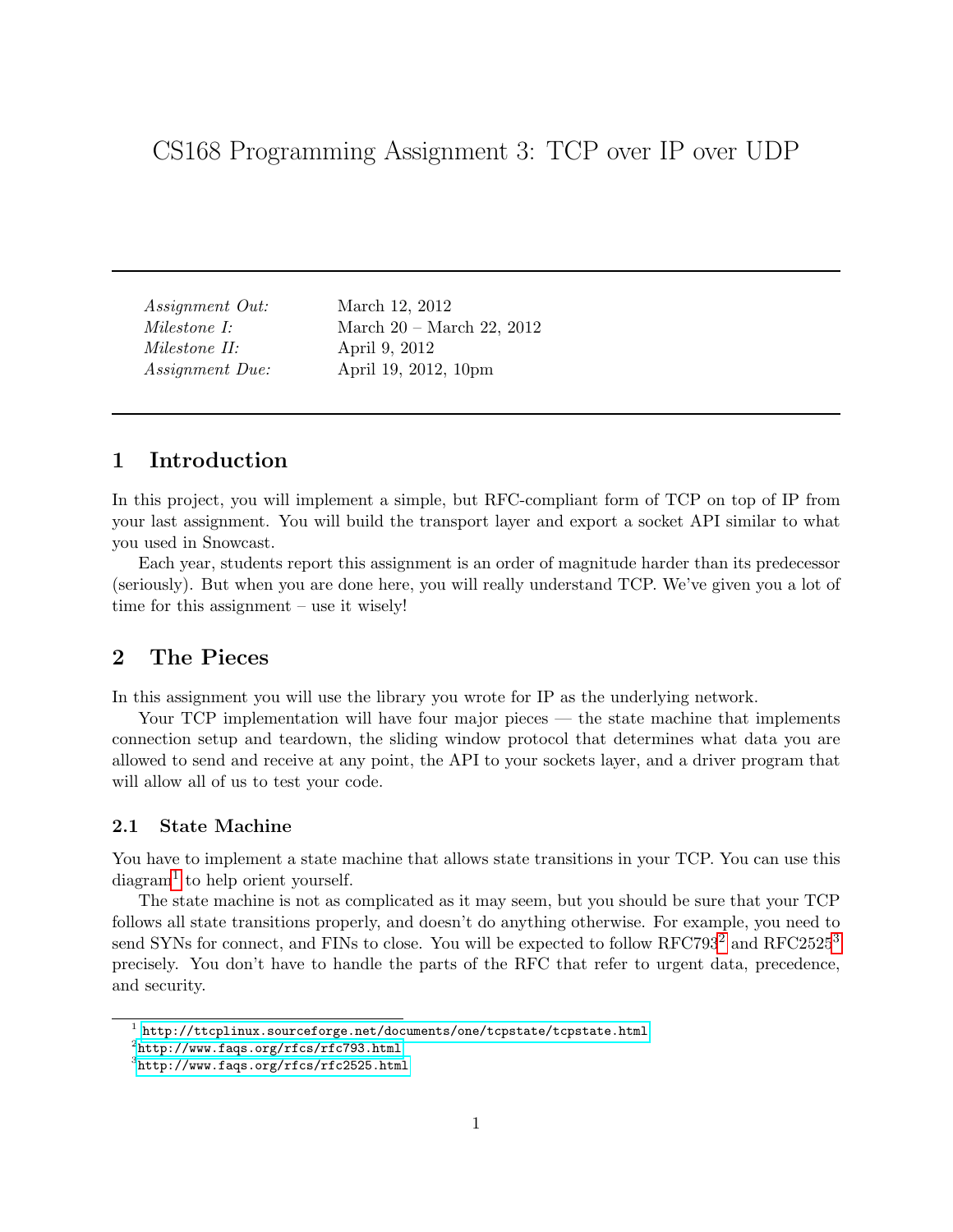CS168 Programming Assignment 3: TCP over IP over UDP

Assignment Out: March 12, 2012 Milestone I: March 20 – March 22, 2012 Milestone II: April 9, 2012 Assignment Due: April 19, 2012, 10pm

## 1 Introduction

In this project, you will implement a simple, but RFC-compliant form of TCP on top of IP from your last assignment. You will build the transport layer and export a socket API similar to what you used in Snowcast.

Each year, students report this assignment is an order of magnitude harder than its predecessor (seriously). But when you are done here, you will really understand TCP. We've given you a lot of time for this assignment – use it wisely!

## 2 The Pieces

In this assignment you will use the library you wrote for IP as the underlying network.

Your TCP implementation will have four major pieces — the state machine that implements connection setup and teardown, the sliding window protocol that determines what data you are allowed to send and receive at any point, the API to your sockets layer, and a driver program that will allow all of us to test your code.

### 2.1 State Machine

You have to implement a state machine that allows state transitions in your TCP. You can use this  $\text{diagram}^1$  $\text{diagram}^1$  to help orient yourself.

The state machine is not as complicated as it may seem, but you should be sure that your TCP follows all state transitions properly, and doesn't do anything otherwise. For example, you need to send SYNs for connect, and FINs to close. You will be expected to follow RFC793<sup>[2](#page-0-1)</sup> and RFC2525<sup>[3](#page-0-2)</sup> precisely. You don't have to handle the parts of the RFC that refer to urgent data, precedence, and security.

<span id="page-0-0"></span> $^{\rm 1}$  <http://ttcplinux.sourceforge.net/documents/one/tcpstate/tcpstate.html>

<span id="page-0-1"></span> $^{2}$ [http://www.faqs.org/rfcs/rfc793.html](http://www.faqs.org/rfcs/rfc793.html )

<span id="page-0-2"></span> $^3$ <http://www.faqs.org/rfcs/rfc2525.html>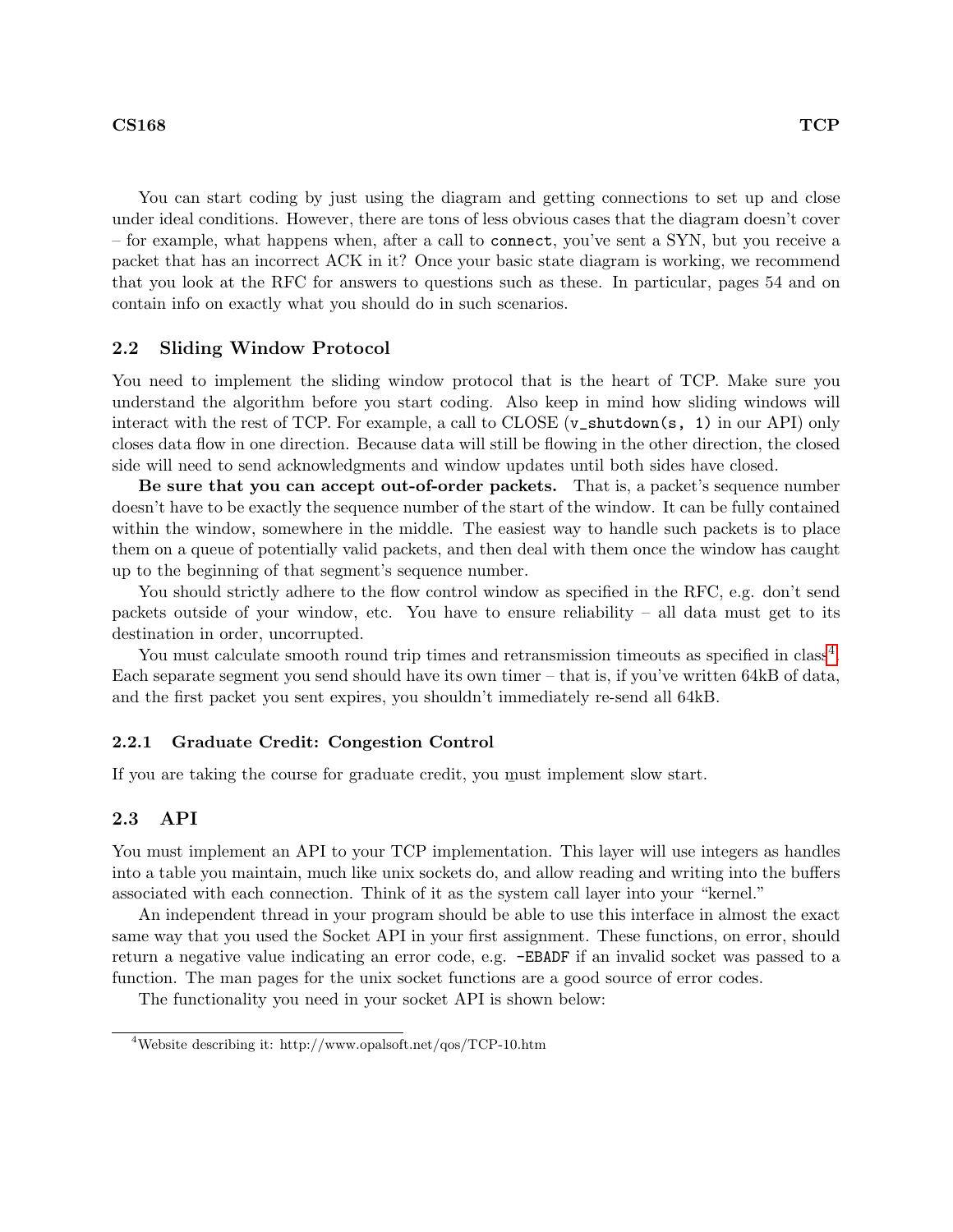You can start coding by just using the diagram and getting connections to set up and close under ideal conditions. However, there are tons of less obvious cases that the diagram doesn't cover – for example, what happens when, after a call to connect, you've sent a SYN, but you receive a packet that has an incorrect ACK in it? Once your basic state diagram is working, we recommend that you look at the RFC for answers to questions such as these. In particular, pages 54 and on contain info on exactly what you should do in such scenarios.

### 2.2 Sliding Window Protocol

You need to implement the sliding window protocol that is the heart of TCP. Make sure you understand the algorithm before you start coding. Also keep in mind how sliding windows will interact with the rest of TCP. For example, a call to CLOSE (v\_shutdown(s, 1) in our API) only closes data flow in one direction. Because data will still be flowing in the other direction, the closed side will need to send acknowledgments and window updates until both sides have closed.

Be sure that you can accept out-of-order packets. That is, a packet's sequence number doesn't have to be exactly the sequence number of the start of the window. It can be fully contained within the window, somewhere in the middle. The easiest way to handle such packets is to place them on a queue of potentially valid packets, and then deal with them once the window has caught up to the beginning of that segment's sequence number.

You should strictly adhere to the flow control window as specified in the RFC, e.g. don't send packets outside of your window, etc. You have to ensure reliability – all data must get to its destination in order, uncorrupted.

You must calculate smooth round trip times and retransmission timeouts as specified in class<sup>[4](#page-1-0)</sup>. Each separate segment you send should have its own timer – that is, if you've written 64kB of data, and the first packet you sent expires, you shouldn't immediately re-send all 64kB.

#### 2.2.1 Graduate Credit: Congestion Control

If you are taking the course for graduate credit, you must implement slow start.

#### 2.3 API

You must implement an API to your TCP implementation. This layer will use integers as handles into a table you maintain, much like unix sockets do, and allow reading and writing into the buffers associated with each connection. Think of it as the system call layer into your "kernel."

An independent thread in your program should be able to use this interface in almost the exact same way that you used the Socket API in your first assignment. These functions, on error, should return a negative value indicating an error code, e.g. -EBADF if an invalid socket was passed to a function. The man pages for the unix socket functions are a good source of error codes.

The functionality you need in your socket API is shown below:

<span id="page-1-0"></span><sup>4</sup>Website describing it: http://www.opalsoft.net/qos/TCP-10.htm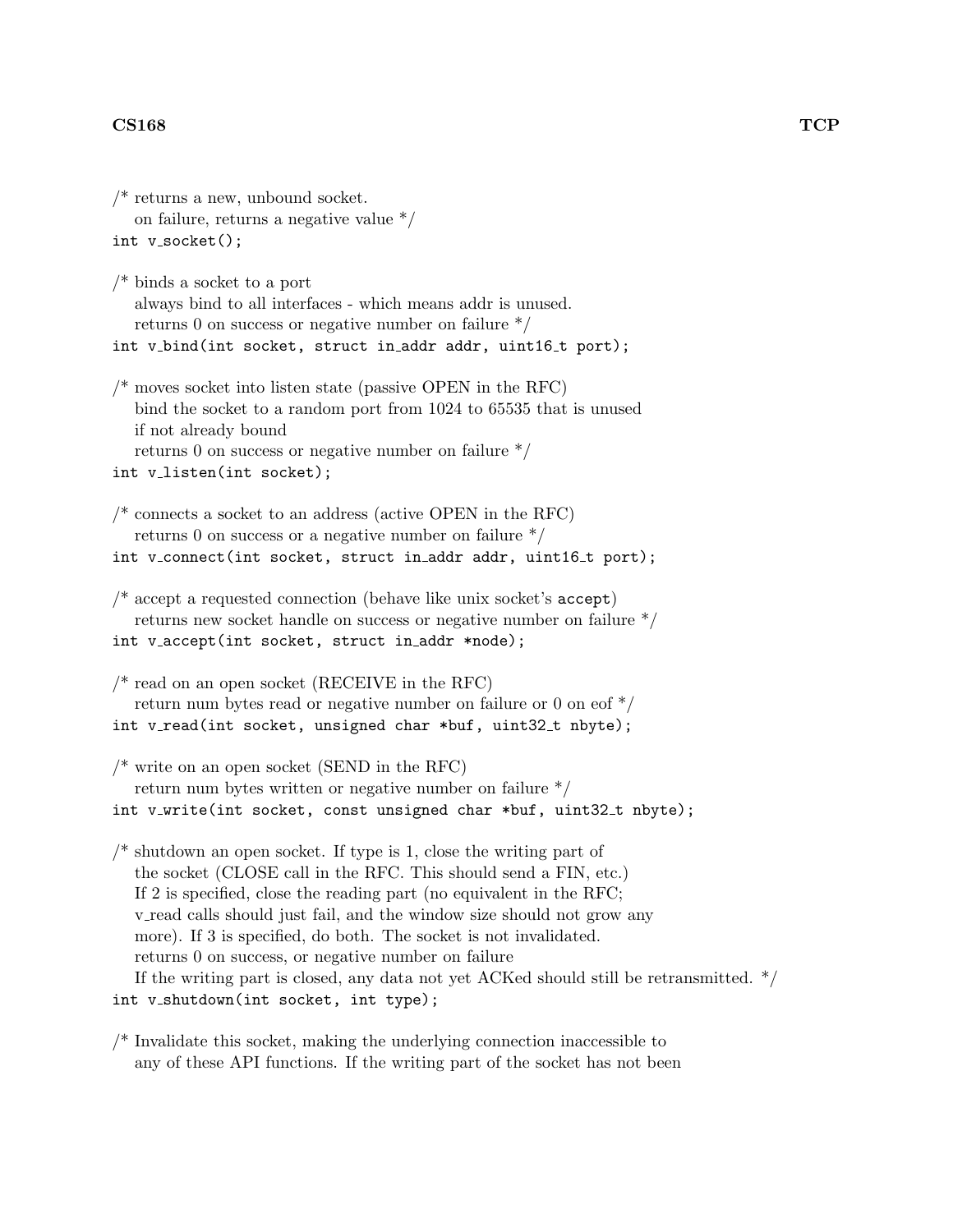```
/* returns a new, unbound socket.
   on failure, returns a negative value */
int v socket();
/* binds a socket to a port
   always bind to all interfaces - which means addr is unused.
  returns 0 on success or negative number on failure */
int v_bind(int socket, struct in_addr addr, uint16_t port);
\frac{1}{2} moves socket into listen state (passive OPEN in the RFC)
   bind the socket to a random port from 1024 to 65535 that is unused
  if not already bound
  returns 0 on success or negative number on failure */
int v_listen(int socket);
\frac{1}{2} connects a socket to an address (active OPEN in the RFC)
   returns 0 on success or a negative number on failure */
int v_connect(int socket, struct in_addr addr, uint16_t port);
/* accept a requested connection (behave like unix socket's accept)
  returns new socket handle on success or negative number on failure */
int v_accept(int socket, struct in_addr *node);
\frac{1}{2} read on an open socket (RECEIVE in the RFC)
   return num bytes read or negative number on failure or 0 on eof */
int v_read(int socket, unsigned char *buf, uint32_t nbyte);
\frac{1}{2} write on an open socket (SEND in the RFC)
   return num bytes written or negative number on failure */
int v_write(int socket, const unsigned char *buf, uint32_t nbyte);
\prime^* shutdown an open socket. If type is 1, close the writing part of
   the socket (CLOSE call in the RFC. This should send a FIN, etc.)
  If 2 is specified, close the reading part (no equivalent in the RFC;
  v read calls should just fail, and the window size should not grow any
  more). If 3 is specified, do both. The socket is not invalidated.
  returns 0 on success, or negative number on failure
  If the writing part is closed, any data not yet ACKed should still be retransmitted. */
int v_shutdown(int socket, int type);
```
 $/*$  Invalidate this socket, making the underlying connection inaccessible to any of these API functions. If the writing part of the socket has not been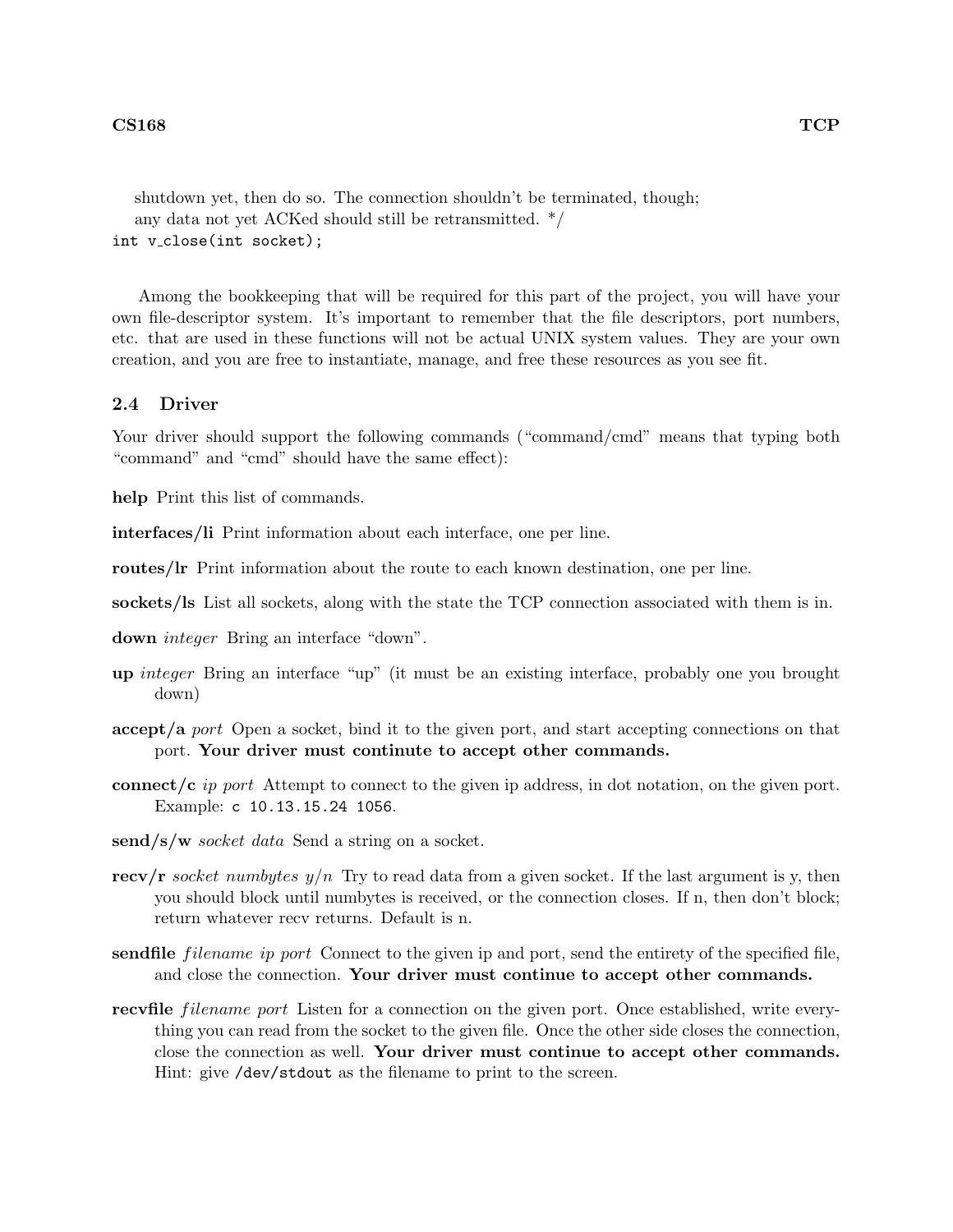shutdown yet, then do so. The connection shouldn't be terminated, though; any data not yet ACKed should still be retransmitted. \*/ int v\_close(int socket);

Among the bookkeeping that will be required for this part of the project, you will have your own file-descriptor system. It's important to remember that the file descriptors, port numbers, etc. that are used in these functions will not be actual UNIX system values. They are your own creation, and you are free to instantiate, manage, and free these resources as you see fit.

### 2.4 Driver

Your driver should support the following commands ("command/cmd" means that typing both "command" and "cmd" should have the same effect):

help Print this list of commands.

interfaces/li Print information about each interface, one per line.

routes/lr Print information about the route to each known destination, one per line.

sockets/ls List all sockets, along with the state the TCP connection associated with them is in.

down integer Bring an interface "down".

- up integer Bring an interface "up" (it must be an existing interface, probably one you brought down)
- accept/a port Open a socket, bind it to the given port, and start accepting connections on that port. Your driver must continute to accept other commands.
- connect/c ip port Attempt to connect to the given ip address, in dot notation, on the given port. Example: c 10.13.15.24 1056.
- send/s/w *socket data* Send a string on a socket.
- recv/r socket numbytes  $y/n$  Try to read data from a given socket. If the last argument is y, then you should block until numbytes is received, or the connection closes. If n, then don't block; return whatever recv returns. Default is n.
- sendfile *filename ip port* Connect to the given ip and port, send the entirety of the specified file, and close the connection. Your driver must continue to accept other commands.
- recvfile *filename port* Listen for a connection on the given port. Once established, write everything you can read from the socket to the given file. Once the other side closes the connection, close the connection as well. Your driver must continue to accept other commands. Hint: give /dev/stdout as the filename to print to the screen.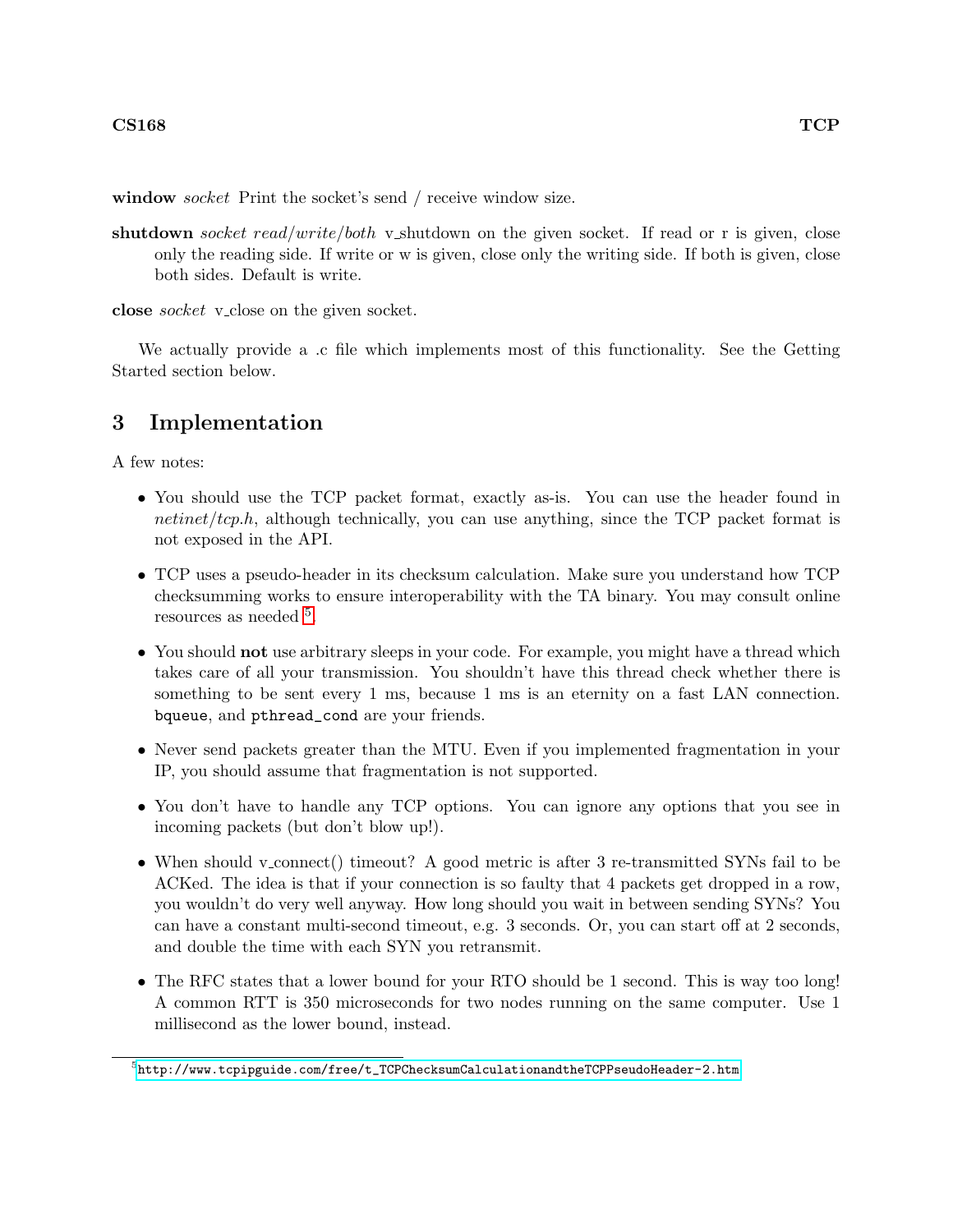window *socket* Print the socket's send / receive window size.

shutdown socket read/write/both v\_shutdown on the given socket. If read or r is given, close only the reading side. If write or w is given, close only the writing side. If both is given, close both sides. Default is write.

close *socket* v\_close on the given socket.

We actually provide a .c file which implements most of this functionality. See the Getting Started section below.

# 3 Implementation

A few notes:

- You should use the TCP packet format, exactly as-is. You can use the header found in netinet/tcp.h, although technically, you can use anything, since the  $TCP$  packet format is not exposed in the API.
- TCP uses a pseudo-header in its checksum calculation. Make sure you understand how TCP checksumming works to ensure interoperability with the TA binary. You may consult online resources as needed  $5$ .
- You should **not** use arbitrary sleeps in your code. For example, you might have a thread which takes care of all your transmission. You shouldn't have this thread check whether there is something to be sent every 1 ms, because 1 ms is an eternity on a fast LAN connection. bqueue, and pthread\_cond are your friends.
- Never send packets greater than the MTU. Even if you implemented fragmentation in your IP, you should assume that fragmentation is not supported.
- You don't have to handle any TCP options. You can ignore any options that you see in incoming packets (but don't blow up!).
- When should v\_connect() timeout? A good metric is after 3 re-transmitted SYNs fail to be ACKed. The idea is that if your connection is so faulty that 4 packets get dropped in a row, you wouldn't do very well anyway. How long should you wait in between sending SYNs? You can have a constant multi-second timeout, e.g. 3 seconds. Or, you can start off at 2 seconds, and double the time with each SYN you retransmit.
- The RFC states that a lower bound for your RTO should be 1 second. This is way too long! A common RTT is 350 microseconds for two nodes running on the same computer. Use 1 millisecond as the lower bound, instead.

<span id="page-4-0"></span> $^5$ [http://www.tcpipguide.com/free/t\\_TCPChecksumCalculationandtheTCPPseudoHeader-2.htm](http://www.tcpipguide.com/free/t_TCPChecksumCalculationandtheTCPPseudoHeader-2.htm )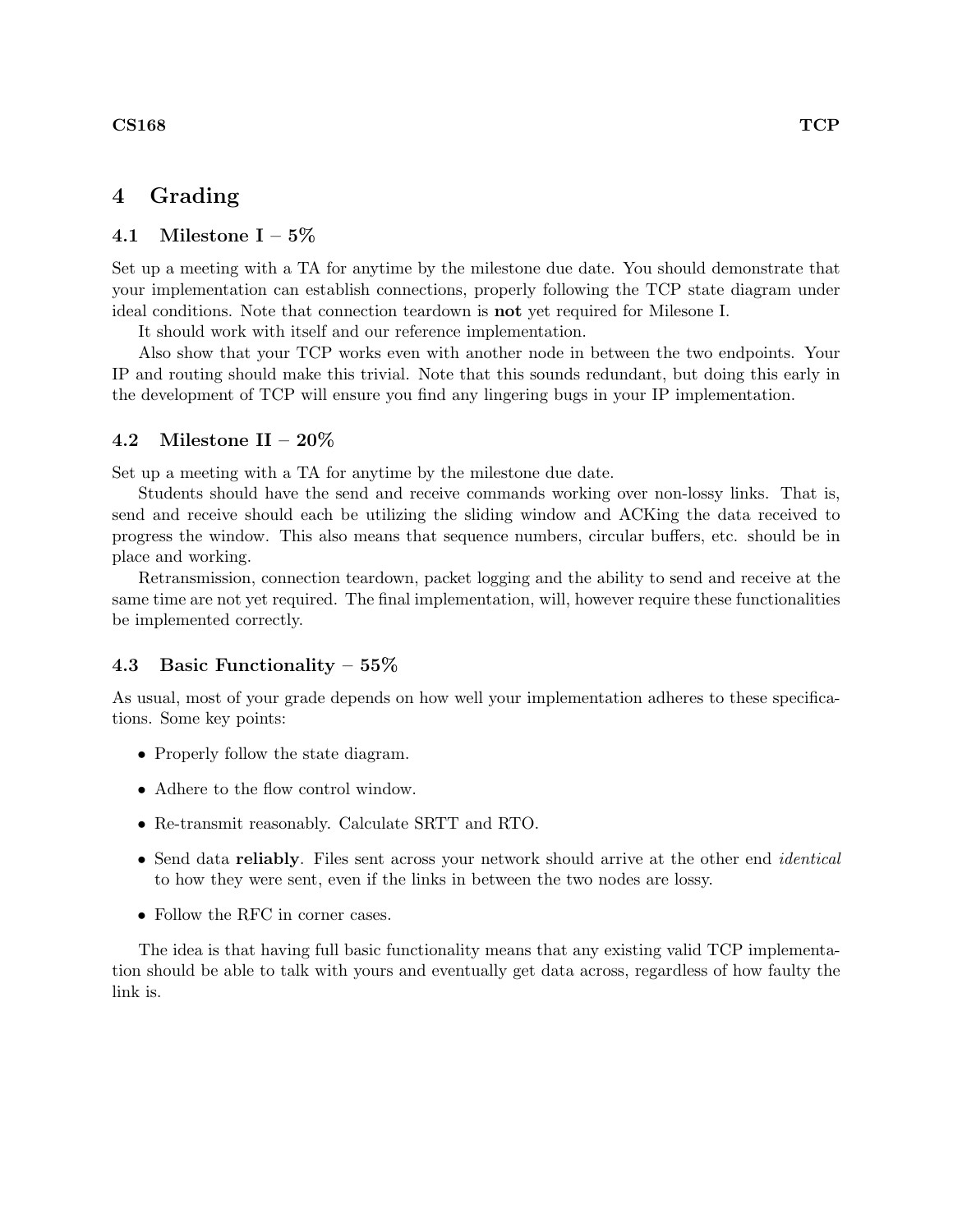## 4 Grading

## 4.1 Milestone  $I - 5\%$

Set up a meeting with a TA for anytime by the milestone due date. You should demonstrate that your implementation can establish connections, properly following the TCP state diagram under ideal conditions. Note that connection teardown is not yet required for Milesone I.

It should work with itself and our reference implementation.

Also show that your TCP works even with another node in between the two endpoints. Your IP and routing should make this trivial. Note that this sounds redundant, but doing this early in the development of TCP will ensure you find any lingering bugs in your IP implementation.

## 4.2 Milestone II –  $20\%$

Set up a meeting with a TA for anytime by the milestone due date.

Students should have the send and receive commands working over non-lossy links. That is, send and receive should each be utilizing the sliding window and ACKing the data received to progress the window. This also means that sequence numbers, circular buffers, etc. should be in place and working.

Retransmission, connection teardown, packet logging and the ability to send and receive at the same time are not yet required. The final implementation, will, however require these functionalities be implemented correctly.

#### 4.3 Basic Functionality – 55%

As usual, most of your grade depends on how well your implementation adheres to these specifications. Some key points:

- Properly follow the state diagram.
- Adhere to the flow control window.
- Re-transmit reasonably. Calculate SRTT and RTO.
- Send data reliably. Files sent across your network should arrive at the other end *identical* to how they were sent, even if the links in between the two nodes are lossy.
- Follow the RFC in corner cases.

The idea is that having full basic functionality means that any existing valid TCP implementation should be able to talk with yours and eventually get data across, regardless of how faulty the link is.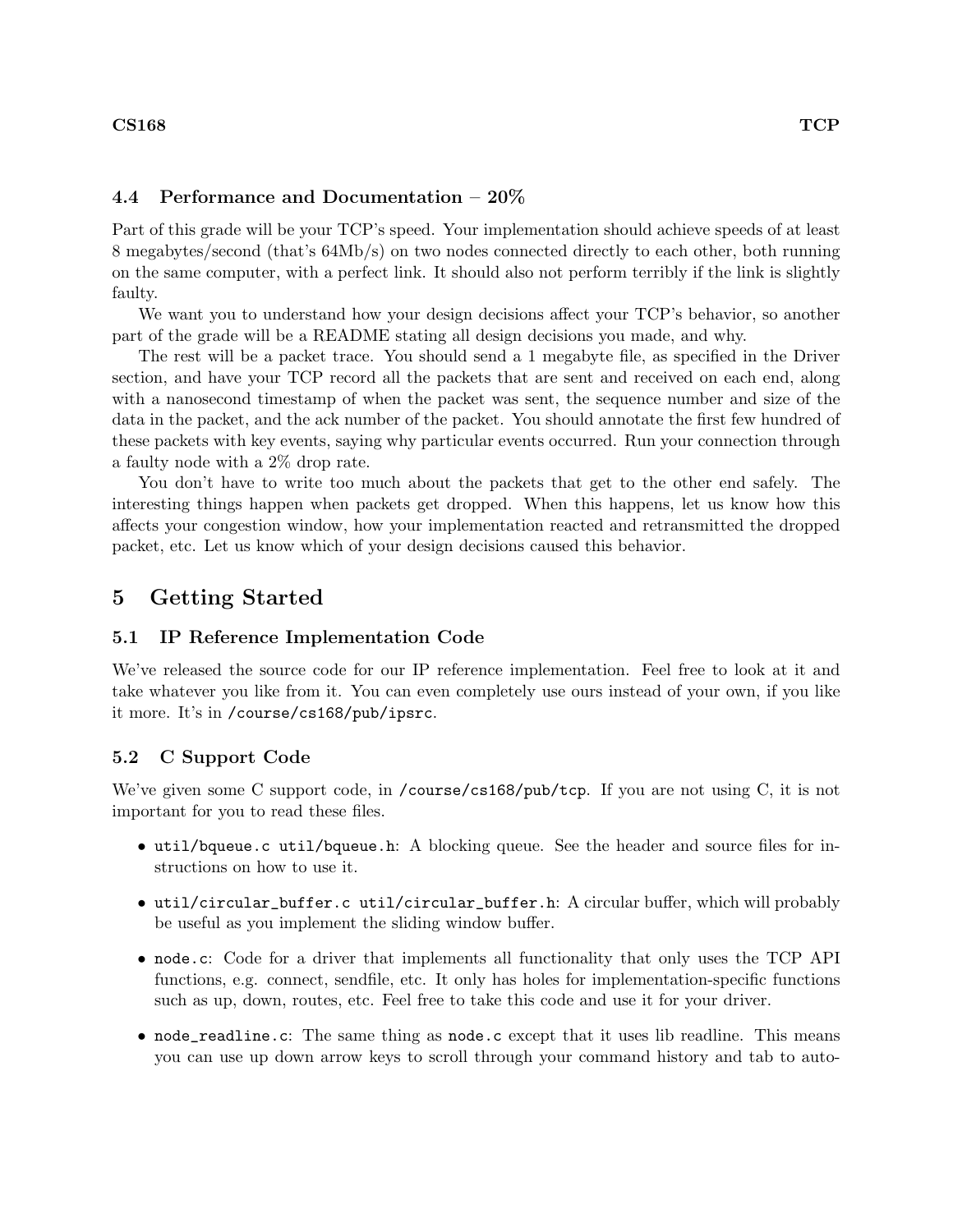### 4.4 Performance and Documentation – 20%

Part of this grade will be your TCP's speed. Your implementation should achieve speeds of at least 8 megabytes/second (that's 64Mb/s) on two nodes connected directly to each other, both running on the same computer, with a perfect link. It should also not perform terribly if the link is slightly faulty.

We want you to understand how your design decisions affect your TCP's behavior, so another part of the grade will be a README stating all design decisions you made, and why.

The rest will be a packet trace. You should send a 1 megabyte file, as specified in the Driver section, and have your TCP record all the packets that are sent and received on each end, along with a nanosecond timestamp of when the packet was sent, the sequence number and size of the data in the packet, and the ack number of the packet. You should annotate the first few hundred of these packets with key events, saying why particular events occurred. Run your connection through a faulty node with a 2% drop rate.

You don't have to write too much about the packets that get to the other end safely. The interesting things happen when packets get dropped. When this happens, let us know how this affects your congestion window, how your implementation reacted and retransmitted the dropped packet, etc. Let us know which of your design decisions caused this behavior.

## 5 Getting Started

### 5.1 IP Reference Implementation Code

We've released the source code for our IP reference implementation. Feel free to look at it and take whatever you like from it. You can even completely use ours instead of your own, if you like it more. It's in /course/cs168/pub/ipsrc.

### 5.2 C Support Code

We've given some C support code, in /course/cs168/pub/tcp. If you are not using C, it is not important for you to read these files.

- util/bqueue.c util/bqueue.h: A blocking queue. See the header and source files for instructions on how to use it.
- util/circular\_buffer.c util/circular\_buffer.h: A circular buffer, which will probably be useful as you implement the sliding window buffer.
- node.c: Code for a driver that implements all functionality that only uses the TCP API functions, e.g. connect, sendfile, etc. It only has holes for implementation-specific functions such as up, down, routes, etc. Feel free to take this code and use it for your driver.
- node\_readline.c: The same thing as node.c except that it uses lib readline. This means you can use up down arrow keys to scroll through your command history and tab to auto-